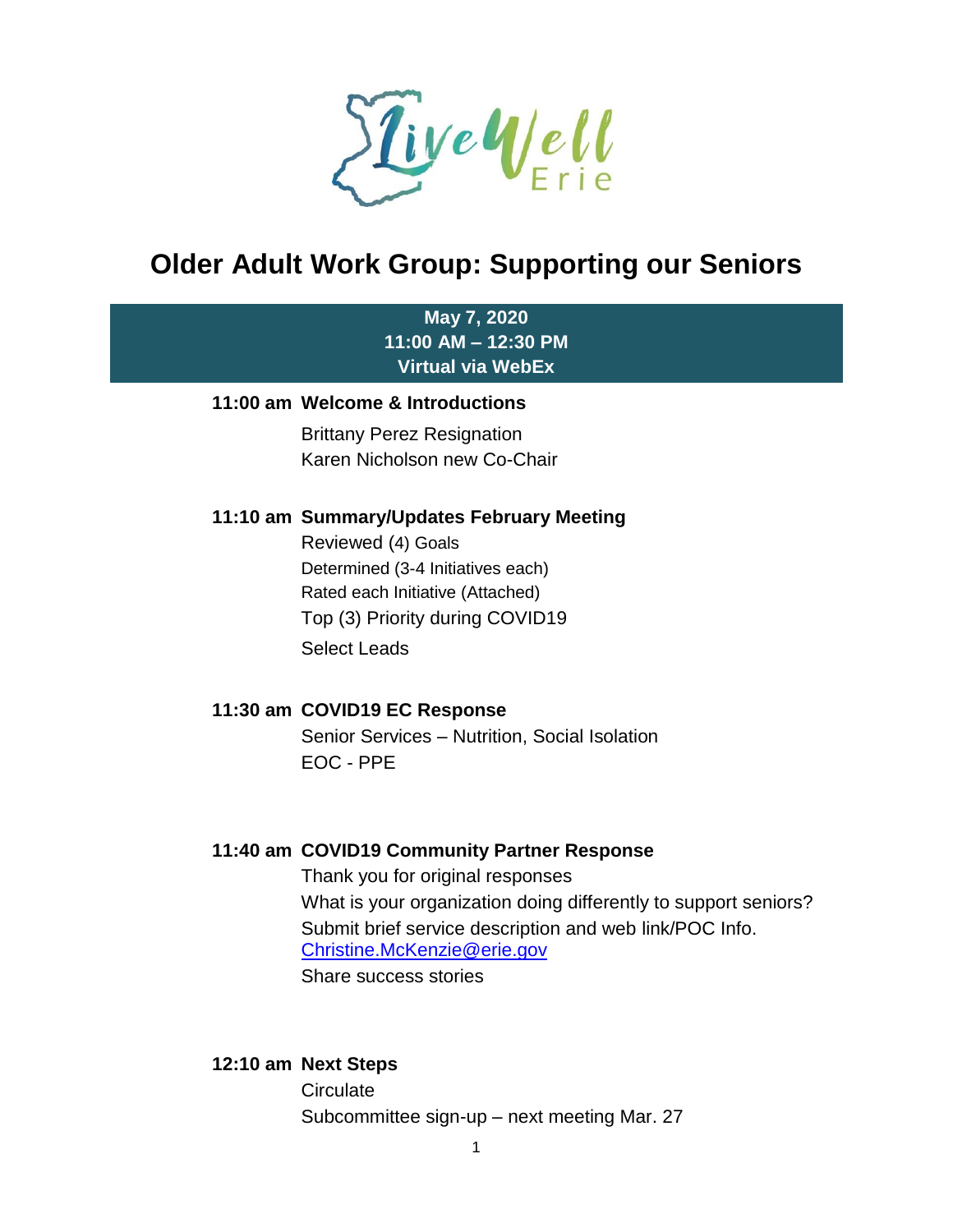

# **Older Adult Work Group: Supporting our Seniors**

## **May 7, 2020 11:00 AM – 12:30 PM Virtual via WebEx**

#### **11:00 am Welcome & Introductions**

Brittany Perez Resignation Karen Nicholson new Co-Chair

#### **11:10 am Summary/Updates February Meeting**

Reviewed (4) Goals Determined (3-4 Initiatives each) Rated each Initiative (Attached) Top (3) Priority during COVID19 Select Leads

#### **11:30 am COVID19 EC Response**

Senior Services – Nutrition, Social Isolation EOC - PPE

#### **11:40 am COVID19 Community Partner Response**

Thank you for original responses What is your organization doing differently to support seniors? Submit brief service description and web link/POC Info. [Christine.McKenzie@erie.gov](mailto:Christine.McKenzie@erie.gov) Share success stories

#### **12:10 am Next Steps**

**Circulate** Subcommittee sign-up – next meeting Mar. 27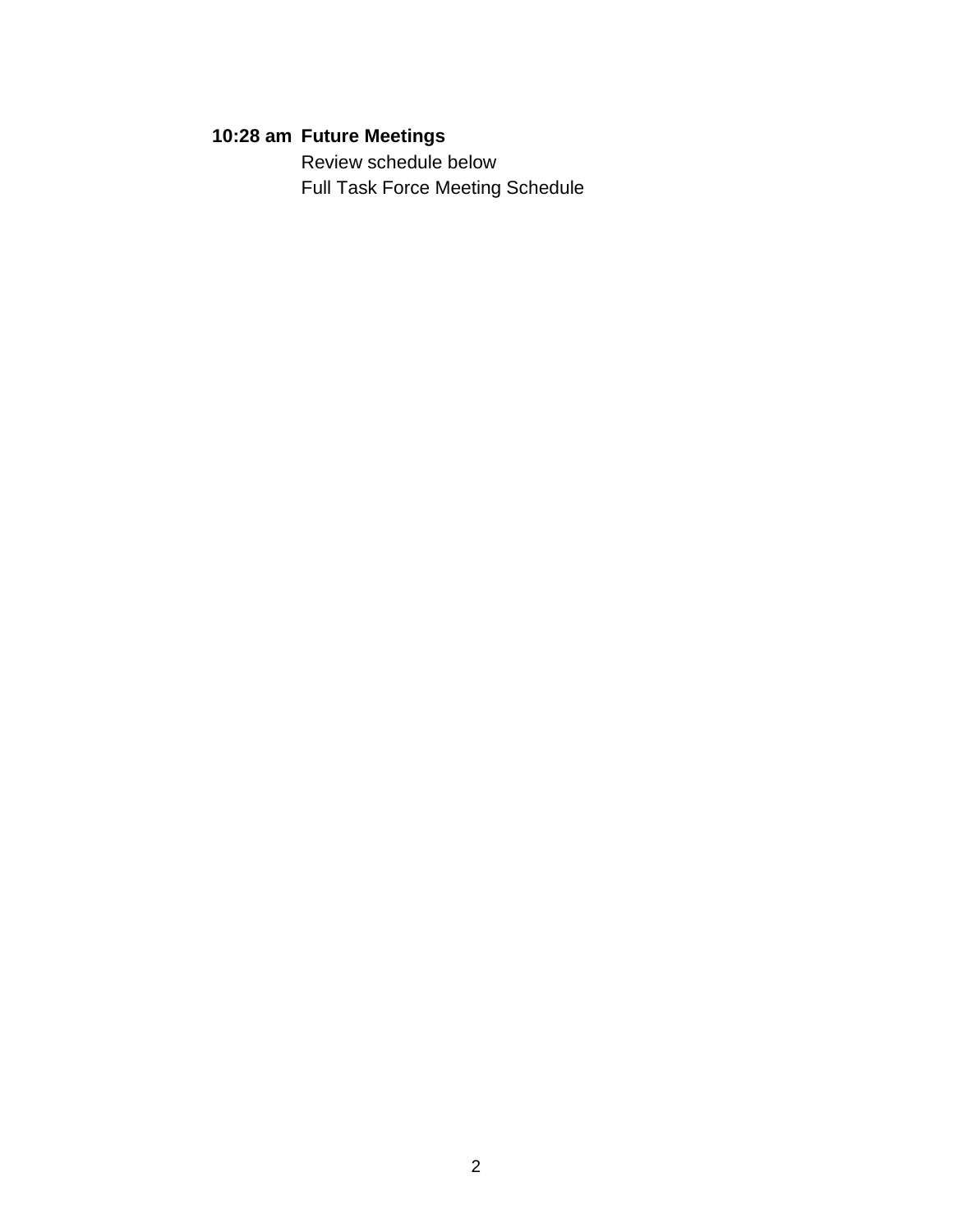# **10:28 am Future Meetings**

Review schedule below Full Task Force Meeting Schedule